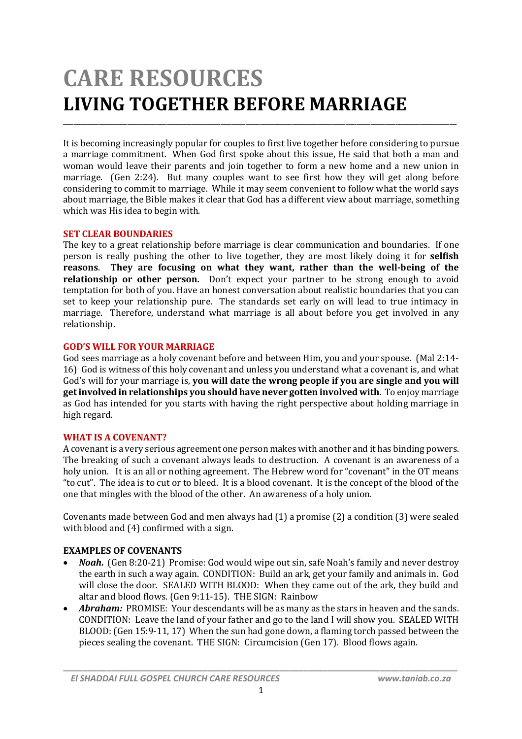# **CARE RESOURCES LIVING TOGETHER BEFORE MARRIAGE**

It is becoming increasingly popular for couples to first live together before considering to pursue a marriage commitment. When God first spoke about this issue, He said that both a man and woman would leave their parents and join together to form a new home and a new union in marriage. (Gen 2:24). But many couples want to see first how they will get along before considering to commit to marriage. While it may seem convenient to follow what the world says about marriage, the Bible makes it clear that God has a different view about marriage, something which was His idea to begin with.

\_\_\_\_\_\_\_\_\_\_\_\_\_\_\_\_\_\_\_\_\_\_\_\_\_\_\_\_\_\_\_\_\_\_\_\_\_\_\_\_\_\_\_\_\_\_\_\_\_\_\_\_\_\_\_\_\_\_\_\_\_\_\_\_\_\_\_\_\_\_\_\_\_\_\_\_\_\_\_\_\_\_\_\_\_\_\_\_\_\_\_\_\_\_\_\_\_\_\_\_\_\_\_\_\_\_\_\_\_\_

#### **SET CLEAR BOUNDARIES**

The key to a great relationship before marriage is clear communication and boundaries. If one person is really pushing the other to live together, they are most likely doing it for **selfish reasons**. **They are focusing on what they want, rather than the well-being of the relationship or other person.** Don't expect your partner to be strong enough to avoid temptation for both of you. Have an honest conversation about realistic boundaries that you can set to keep your relationship pure. The standards set early on will lead to true intimacy in marriage. Therefore, understand what marriage is all about before you get involved in any relationship.

#### **GOD'S WILL FOR YOUR MARRIAGE**

God sees marriage as a holy covenant before and between Him, you and your spouse. (Mal 2:14- 16) God is witness of this holy covenant and unless you understand what a covenant is, and what God's will for your marriage is, **you will date the wrong people if you are single and you will get involved in relationships you should have never gotten involved with**. To enjoy marriage as God has intended for you starts with having the right perspective about holding marriage in high regard.

#### **WHAT IS A COVENANT?**

A covenant is a very serious agreement one person makes with another and it has binding powers. The breaking of such a covenant always leads to destruction. A covenant is an awareness of a holy union. It is an all or nothing agreement. The Hebrew word for "covenant" in the OT means "to cut". The idea is to cut or to bleed. It is a blood covenant. It is the concept of the blood of the one that mingles with the blood of the other. An awareness of a holy union.

Covenants made between God and men always had (1) a promise (2) a condition (3) were sealed with blood and (4) confirmed with a sign.

## **EXAMPLES OF COVENANTS**

- *Noah.* (Gen 8:20-21) Promise: God would wipe out sin, safe Noah's family and never destroy the earth in such a way again. CONDITION: Build an ark, get your family and animals in. God will close the door. SEALED WITH BLOOD: When they came out of the ark, they build and altar and blood flows. (Gen 9:11-15). THE SIGN: Rainbow
- *Abraham:* PROMISE: Your descendants will be as many as the stars in heaven and the sands. CONDITION: Leave the land of your father and go to the land I will show you. SEALED WITH BLOOD: (Gen 15:9-11, 17) When the sun had gone down, a flaming torch passed between the pieces sealing the covenant. THE SIGN: Circumcision (Gen 17). Blood flows again.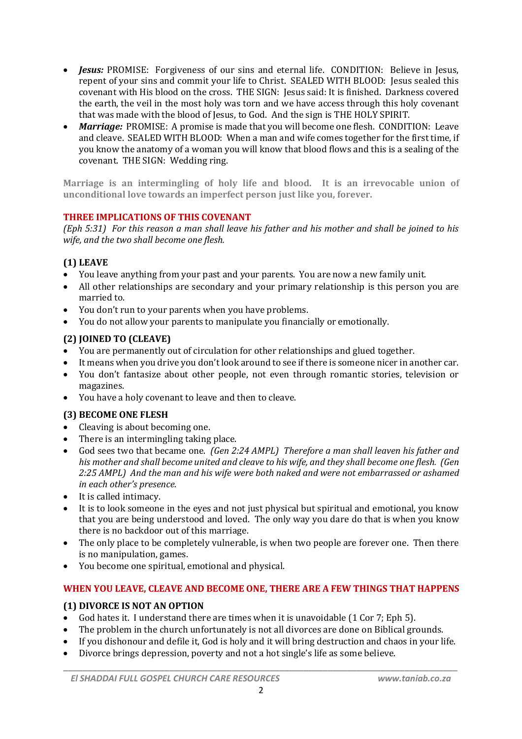- *Jesus:* PROMISE: Forgiveness of our sins and eternal life. CONDITION: Believe in Jesus, repent of your sins and commit your life to Christ. SEALED WITH BLOOD: Jesus sealed this covenant with His blood on the cross. THE SIGN: Jesus said: It is finished. Darkness covered the earth, the veil in the most holy was torn and we have access through this holy covenant that was made with the blood of Jesus, to God. And the sign is THE HOLY SPIRIT.
- *Marriage:* PROMISE: A promise is made that you will become one flesh. CONDITION: Leave and cleave. SEALED WITH BLOOD: When a man and wife comes together for the first time, if you know the anatomy of a woman you will know that blood flows and this is a sealing of the covenant. THE SIGN: Wedding ring.

**Marriage is an intermingling of holy life and blood. It is an irrevocable union of unconditional love towards an imperfect person just like you, forever.**

## **THREE IMPLICATIONS OF THIS COVENANT**

*(Eph 5:31) For this reason a man shall leave his father and his mother and shall be joined to his wife, and the two shall become one flesh.*

## **(1) LEAVE**

- You leave anything from your past and your parents. You are now a new family unit.
- All other relationships are secondary and your primary relationship is this person you are married to.
- You don't run to your parents when you have problems.
- You do not allow your parents to manipulate you financially or emotionally.

# **(2) JOINED TO (CLEAVE)**

- You are permanently out of circulation for other relationships and glued together.
- It means when you drive you don't look around to see if there is someone nicer in another car.
- You don't fantasize about other people, not even through romantic stories, television or magazines.
- You have a holy covenant to leave and then to cleave.

# **(3) BECOME ONE FLESH**

- Cleaving is about becoming one.
- There is an intermingling taking place.
- God sees two that became one. *(Gen 2:24 AMPL) Therefore a man shall leaven his father and his mother and shall become united and cleave to his wife, and they shall become one flesh. (Gen 2:25 AMPL) And the man and his wife were both naked and were not embarrassed or ashamed in each other's presence.*
- It is called intimacy.
- It is to look someone in the eyes and not just physical but spiritual and emotional, you know that you are being understood and loved. The only way you dare do that is when you know there is no backdoor out of this marriage.
- The only place to be completely vulnerable, is when two people are forever one. Then there is no manipulation, games.
- You become one spiritual, emotional and physical.

# **WHEN YOU LEAVE, CLEAVE AND BECOME ONE, THERE ARE A FEW THINGS THAT HAPPENS**

# **(1) DIVORCE IS NOT AN OPTION**

- God hates it. I understand there are times when it is unavoidable (1 Cor 7; Eph 5).
- The problem in the church unfortunately is not all divorces are done on Biblical grounds.
- If you dishonour and defile it, God is holy and it will bring destruction and chaos in your life.
- Divorce brings depression, poverty and not a hot single's life as some believe.

*\_\_\_\_\_\_\_\_\_\_\_\_\_\_\_\_\_\_\_\_\_\_\_\_\_\_\_\_\_\_\_\_\_\_\_\_\_\_\_\_\_\_\_\_\_\_\_\_\_\_\_\_\_\_\_\_\_\_\_\_\_\_\_\_\_\_\_\_\_\_\_\_\_\_\_\_\_\_\_\_\_\_*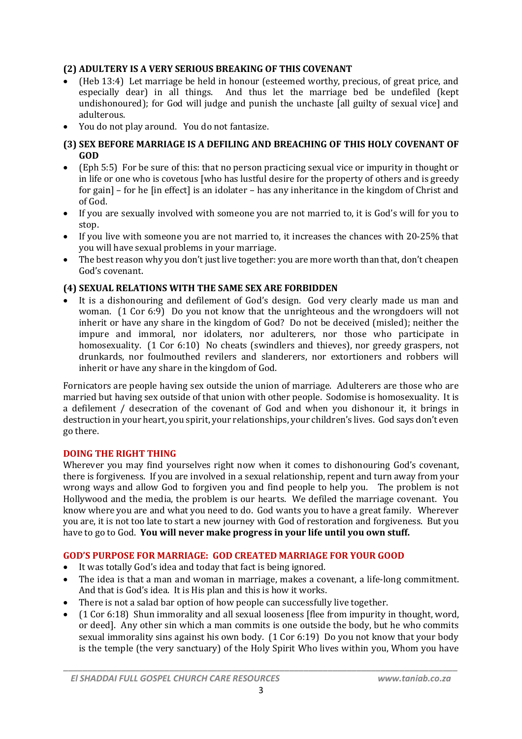## **(2) ADULTERY IS A VERY SERIOUS BREAKING OF THIS COVENANT**

- (Heb 13:4) Let marriage be held in honour (esteemed worthy, precious, of great price, and especially dear) in all things. And thus let the marriage bed be undefiled (kept undishonoured); for God will judge and punish the unchaste [all guilty of sexual vice] and adulterous.
- You do not play around. You do not fantasize.

## **(3) SEX BEFORE MARRIAGE IS A DEFILING AND BREACHING OF THIS HOLY COVENANT OF GOD**

- (Eph 5:5) For be sure of this: that no person practicing sexual vice or impurity in thought or in life or one who is covetous [who has lustful desire for the property of others and is greedy for gain] – for he [in effect] is an idolater – has any inheritance in the kingdom of Christ and of God.
- If you are sexually involved with someone you are not married to, it is God's will for you to stop.
- If you live with someone you are not married to, it increases the chances with 20-25% that you will have sexual problems in your marriage.
- The best reason why you don't just live together: you are more worth than that, don't cheapen God's covenant.

# **(4) SEXUAL RELATIONS WITH THE SAME SEX ARE FORBIDDEN**

 It is a dishonouring and defilement of God's design. God very clearly made us man and woman. (1 Cor 6:9) Do you not know that the unrighteous and the wrongdoers will not inherit or have any share in the kingdom of God? Do not be deceived (misled); neither the impure and immoral, nor idolaters, nor adulterers, nor those who participate in homosexuality. (1 Cor 6:10) No cheats (swindlers and thieves), nor greedy graspers, not drunkards, nor foulmouthed revilers and slanderers, nor extortioners and robbers will inherit or have any share in the kingdom of God.

Fornicators are people having sex outside the union of marriage. Adulterers are those who are married but having sex outside of that union with other people. Sodomise is homosexuality. It is a defilement / desecration of the covenant of God and when you dishonour it, it brings in destruction in your heart, you spirit, your relationships, your children's lives. God says don't even go there.

## **DOING THE RIGHT THING**

Wherever you may find yourselves right now when it comes to dishonouring God's covenant, there is forgiveness. If you are involved in a sexual relationship, repent and turn away from your wrong ways and allow God to forgiven you and find people to help you. The problem is not Hollywood and the media, the problem is our hearts. We defiled the marriage covenant. You know where you are and what you need to do. God wants you to have a great family. Wherever you are, it is not too late to start a new journey with God of restoration and forgiveness. But you have to go to God. **You will never make progress in your life until you own stuff.**

## **GOD'S PURPOSE FOR MARRIAGE: GOD CREATED MARRIAGE FOR YOUR GOOD**

- It was totally God's idea and today that fact is being ignored.
- The idea is that a man and woman in marriage, makes a covenant, a life-long commitment. And that is God's idea. It is His plan and this is how it works.
- There is not a salad bar option of how people can successfully live together.
- (1 Cor 6:18) Shun immorality and all sexual looseness [flee from impurity in thought, word, or deed]. Any other sin which a man commits is one outside the body, but he who commits sexual immorality sins against his own body. (1 Cor 6:19) Do you not know that your body is the temple (the very sanctuary) of the Holy Spirit Who lives within you, Whom you have

*\_\_\_\_\_\_\_\_\_\_\_\_\_\_\_\_\_\_\_\_\_\_\_\_\_\_\_\_\_\_\_\_\_\_\_\_\_\_\_\_\_\_\_\_\_\_\_\_\_\_\_\_\_\_\_\_\_\_\_\_\_\_\_\_\_\_\_\_\_\_\_\_\_\_\_\_\_\_\_\_\_\_*